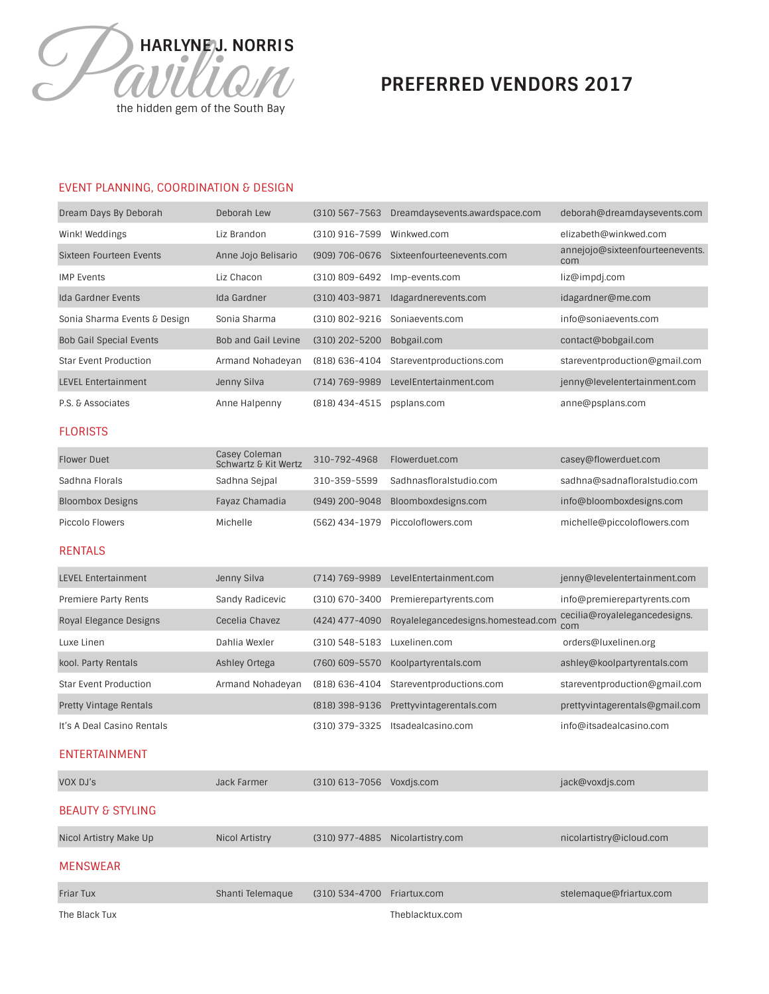

# **PREFERRED VENDORS 2017**

# EVENT PLANNING, COORDINATION & DESIGN

| Dream Days By Deborah          | Deborah Lew                | $(310)$ 567-7563 | Dreamdaysevents.awardspace.com | deborah@dreamdaysevents.com            |
|--------------------------------|----------------------------|------------------|--------------------------------|----------------------------------------|
| Wink! Weddings                 | Liz Brandon                | (310) 916-7599   | Winkwed.com                    | elizabeth@winkwed.com                  |
| Sixteen Fourteen Events        | Anne Jojo Belisario        | (909) 706-0676   | Sixteenfourteenevents.com      | annejojo@sixteenfourteenevents.<br>com |
| <b>IMP Events</b>              | Liz Chacon                 | (310) 809-6492   | Imp-events.com                 | liz@impdj.com                          |
| Ida Gardner Events             | Ida Gardner                | $(310)$ 403-9871 | Idagardnerevents.com           | idagardner@me.com                      |
| Sonia Sharma Events & Design   | Sonia Sharma               | (310) 802-9216   | Soniaevents.com                | info@soniaevents.com                   |
| <b>Bob Gail Special Events</b> | <b>Bob and Gail Levine</b> | (310) 202-5200   | Bobgail.com                    | contact@bobgail.com                    |
| <b>Star Event Production</b>   | Armand Nohadeyan           | (818) 636-4104   | Stareventproductions.com       | stareventproduction@gmail.com          |
| <b>LEVEL Entertainment</b>     | Jenny Silva                | (714) 769-9989   | LevelEntertainment.com         | jenny@levelentertainment.com           |
| P.S. & Associates              | Anne Halpenny              | (818) 434-4515   | psplans.com                    | anne@psplans.com                       |

## **FLORISTS**

| <b>Flower Duet</b>      | Casey Coleman<br>Schwartz & Kit Wertz | 310-792-4968   | Flowerduet.com                    | casey@flowerduet.com         |
|-------------------------|---------------------------------------|----------------|-----------------------------------|------------------------------|
| Sadhna Florals          | Sadhna Seipal                         | 310-359-5599   | Sadhnasfloralstudio.com           | sadhna@sadnafloralstudio.com |
| <b>Bloombox Designs</b> | Fayaz Chamadia                        | (949) 200-9048 | Bloomboxdesigns.com               | info@bloomboxdesigns.com     |
| Piccolo Flowers         | Michelle                              |                | (562) 434-1979 Piccoloflowers.com | michelle@piccoloflowers.com  |

#### RENTALS

| <b>LEVEL Entertainment</b>    | Jenny Silva      | (714) 769-9989   | LevelEntertainment.com             | jenny@levelentertainment.com         |
|-------------------------------|------------------|------------------|------------------------------------|--------------------------------------|
| Premiere Party Rents          | Sandy Radicevic  | (310) 670-3400   | Premierepartyrents.com             | info@premierepartyrents.com          |
| Royal Elegance Designs        | Cecelia Chavez   | (424) 477-4090   | Royalelegancedesigns.homestead.com | cecilia@royalelegancedesigns.<br>com |
| Luxe Linen                    | Dahlia Wexler    | $(310)$ 548-5183 | Luxelinen.com                      | orders@luxelinen.org                 |
| kool. Party Rentals           | Ashley Ortega    | (760) 609-5570   | Koolpartyrentals.com               | ashley@koolpartyrentals.com          |
| <b>Star Event Production</b>  | Armand Nohadeyan | (818) 636-4104   | Stareventproductions.com           | stareventproduction@gmail.com        |
| <b>Pretty Vintage Rentals</b> |                  | (818) 398-9136   | Prettyvintagerentals.com           | prettyvintagerentals@gmail.com       |
| It's A Deal Casino Rentals    |                  | (310) 379-3325   | Itsadealcasino.com                 | info@itsadealcasino.com              |

#### ENTERTAINMENT

| VOX DJ's                    | Jack Farmer           | (310) 613-7056   | Voxdis.com        | jack@voxdjs.com          |
|-----------------------------|-----------------------|------------------|-------------------|--------------------------|
| <b>BEAUTY &amp; STYLING</b> |                       |                  |                   |                          |
| Nicol Artistry Make Up      | <b>Nicol Artistry</b> | (310) 977-4885   | Nicolartistry.com | nicolartistry@icloud.com |
| MENSWEAR                    |                       |                  |                   |                          |
| <b>Friar Tux</b>            | Shanti Telemaque      | $(310)$ 534-4700 | Friartux.com      | stelemaque@friartux.com  |
| The Black Tux               |                       |                  | Theblacktux.com   |                          |